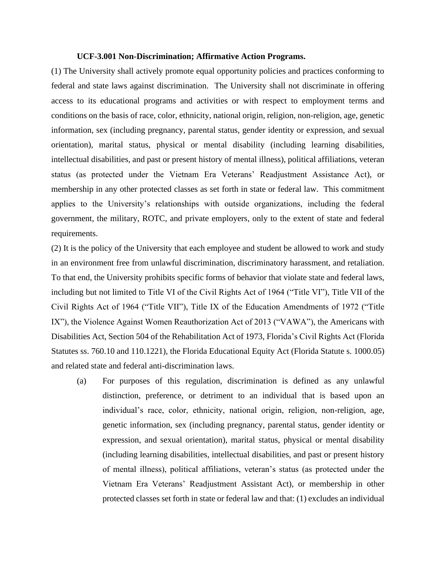## **UCF-3.001 Non-Discrimination; Affirmative Action Programs.**

(1) The University shall actively promote equal opportunity policies and practices conforming to federal and state laws against discrimination. The University shall not discriminate in offering access to its educational programs and activities or with respect to employment terms and conditions on the basis of race, color, ethnicity, national origin, religion, non-religion, age, genetic information, sex (including pregnancy, parental status, gender identity or expression, and sexual orientation), marital status, physical or mental disability (including learning disabilities, intellectual disabilities, and past or present history of mental illness), political affiliations, veteran status (as protected under the Vietnam Era Veterans' Readjustment Assistance Act), or membership in any other protected classes as set forth in state or federal law. This commitment applies to the University's relationships with outside organizations, including the federal government, the military, ROTC, and private employers, only to the extent of state and federal requirements.

(2) It is the policy of the University that each employee and student be allowed to work and study in an environment free from unlawful discrimination, discriminatory harassment, and retaliation. To that end, the University prohibits specific forms of behavior that violate state and federal laws, including but not limited to Title VI of the Civil Rights Act of 1964 ("Title VI"), Title VII of the Civil Rights Act of 1964 ("Title VII"), Title IX of the Education Amendments of 1972 ("Title IX"), the Violence Against Women Reauthorization Act of 2013 ("VAWA"), the Americans with Disabilities Act, Section 504 of the Rehabilitation Act of 1973, Florida's Civil Rights Act (Florida Statutes ss. 760.10 and 110.1221), the Florida Educational Equity Act (Florida Statute s. 1000.05) and related state and federal anti-discrimination laws.

(a) For purposes of this regulation, discrimination is defined as any unlawful distinction, preference, or detriment to an individual that is based upon an individual's race, color, ethnicity, national origin, religion, non-religion, age, genetic information, sex (including pregnancy, parental status, gender identity or expression, and sexual orientation), marital status, physical or mental disability (including learning disabilities, intellectual disabilities, and past or present history of mental illness), political affiliations, veteran's status (as protected under the Vietnam Era Veterans' Readjustment Assistant Act), or membership in other protected classes set forth in state or federal law and that: (1) excludes an individual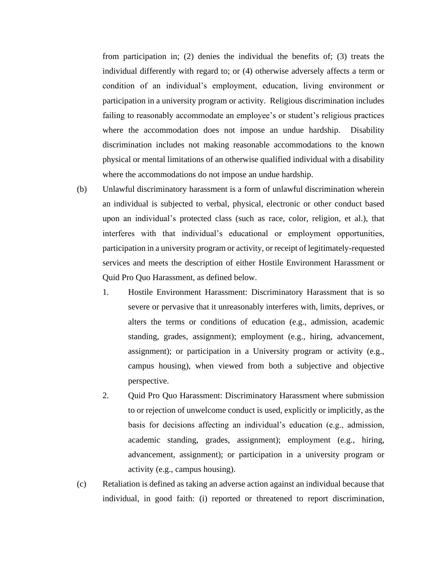from participation in; (2) denies the individual the benefits of; (3) treats the individual differently with regard to; or (4) otherwise adversely affects a term or condition of an individual's employment, education, living environment or participation in a university program or activity. Religious discrimination includes failing to reasonably accommodate an employee's or student's religious practices where the accommodation does not impose an undue hardship. Disability discrimination includes not making reasonable accommodations to the known physical or mental limitations of an otherwise qualified individual with a disability where the accommodations do not impose an undue hardship.

- (b) Unlawful discriminatory harassment is a form of unlawful discrimination wherein an individual is subjected to verbal, physical, electronic or other conduct based upon an individual's protected class (such as race, color, religion, et al.), that interferes with that individual's educational or employment opportunities, participation in a university program or activity, or receipt of legitimately-requested services and meets the description of either Hostile Environment Harassment or Quid Pro Quo Harassment, as defined below.
	- 1. Hostile Environment Harassment: Discriminatory Harassment that is so severe or pervasive that it unreasonably interferes with, limits, deprives, or alters the terms or conditions of education (e.g., admission, academic standing, grades, assignment); employment (e.g., hiring, advancement, assignment); or participation in a University program or activity (e.g., campus housing), when viewed from both a subjective and objective perspective.
	- 2. Quid Pro Quo Harassment: Discriminatory Harassment where submission to or rejection of unwelcome conduct is used, explicitly or implicitly, as the basis for decisions affecting an individual's education (e.g., admission, academic standing, grades, assignment); employment (e.g., hiring, advancement, assignment); or participation in a university program or activity (e.g., campus housing).
- (c) Retaliation is defined as taking an adverse action against an individual because that individual, in good faith: (i) reported or threatened to report discrimination,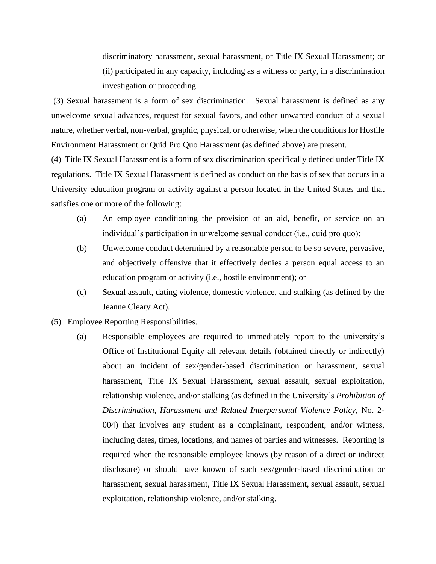discriminatory harassment, sexual harassment, or Title IX Sexual Harassment; or (ii) participated in any capacity, including as a witness or party, in a discrimination investigation or proceeding.

(3) Sexual harassment is a form of sex discrimination. Sexual harassment is defined as any unwelcome sexual advances, request for sexual favors, and other unwanted conduct of a sexual nature, whether verbal, non-verbal, graphic, physical, or otherwise, when the conditions for Hostile Environment Harassment or Quid Pro Quo Harassment (as defined above) are present.

(4) Title IX Sexual Harassment is a form of sex discrimination specifically defined under Title IX regulations. Title IX Sexual Harassment is defined as conduct on the basis of sex that occurs in a University education program or activity against a person located in the United States and that satisfies one or more of the following:

- (a) An employee conditioning the provision of an aid, benefit, or service on an individual's participation in unwelcome sexual conduct (i.e., quid pro quo);
- (b) Unwelcome conduct determined by a reasonable person to be so severe, pervasive, and objectively offensive that it effectively denies a person equal access to an education program or activity (i.e., hostile environment); or
- (c) Sexual assault, dating violence, domestic violence, and stalking (as defined by the Jeanne Cleary Act).
- (5) Employee Reporting Responsibilities.
	- (a) Responsible employees are required to immediately report to the university's Office of Institutional Equity all relevant details (obtained directly or indirectly) about an incident of sex/gender-based discrimination or harassment, sexual harassment, Title IX Sexual Harassment, sexual assault, sexual exploitation, relationship violence, and/or stalking (as defined in the University's *Prohibition of Discrimination, Harassment and Related Interpersonal Violence Policy*, No. 2- 004) that involves any student as a complainant, respondent, and/or witness, including dates, times, locations, and names of parties and witnesses. Reporting is required when the responsible employee knows (by reason of a direct or indirect disclosure) or should have known of such sex/gender-based discrimination or harassment, sexual harassment, Title IX Sexual Harassment, sexual assault, sexual exploitation, relationship violence, and/or stalking.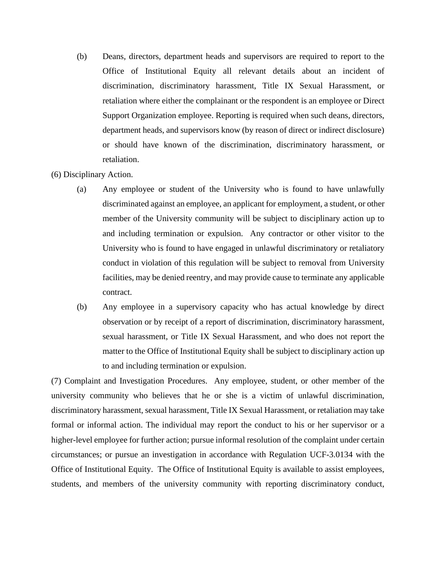- (b) Deans, directors, department heads and supervisors are required to report to the Office of Institutional Equity all relevant details about an incident of discrimination, discriminatory harassment, Title IX Sexual Harassment, or retaliation where either the complainant or the respondent is an employee or Direct Support Organization employee. Reporting is required when such deans, directors, department heads, and supervisors know (by reason of direct or indirect disclosure) or should have known of the discrimination, discriminatory harassment, or retaliation.
- (6) Disciplinary Action.
	- (a) Any employee or student of the University who is found to have unlawfully discriminated against an employee, an applicant for employment, a student, or other member of the University community will be subject to disciplinary action up to and including termination or expulsion. Any contractor or other visitor to the University who is found to have engaged in unlawful discriminatory or retaliatory conduct in violation of this regulation will be subject to removal from University facilities, may be denied reentry, and may provide cause to terminate any applicable contract.
	- (b) Any employee in a supervisory capacity who has actual knowledge by direct observation or by receipt of a report of discrimination, discriminatory harassment, sexual harassment, or Title IX Sexual Harassment, and who does not report the matter to the Office of Institutional Equity shall be subject to disciplinary action up to and including termination or expulsion.

(7) Complaint and Investigation Procedures. Any employee, student, or other member of the university community who believes that he or she is a victim of unlawful discrimination, discriminatory harassment, sexual harassment, Title IX Sexual Harassment, or retaliation may take formal or informal action. The individual may report the conduct to his or her supervisor or a higher-level employee for further action; pursue informal resolution of the complaint under certain circumstances; or pursue an investigation in accordance with Regulation UCF-3.0134 with the Office of Institutional Equity. The Office of Institutional Equity is available to assist employees, students, and members of the university community with reporting discriminatory conduct,